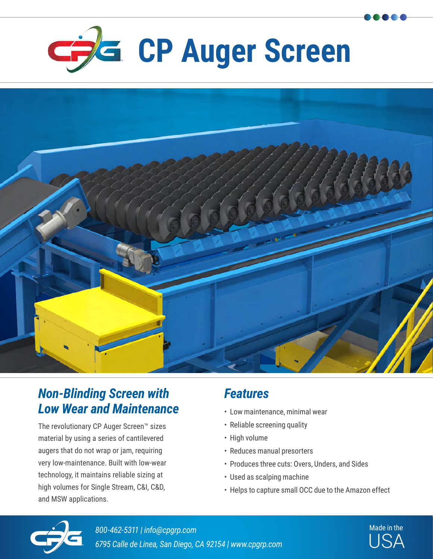



## *Non-Blinding Screen with Low Wear and Maintenance*

The revolutionary CP Auger Screen™ sizes material by using a series of cantilevered augers that do not wrap or jam, requiring very low-maintenance. Built with low-wear technology, it maintains reliable sizing at high volumes for Single Stream, C&I, C&D, and MSW applications.

## *Features*

- Low maintenance, minimal wear
- Reliable screening quality
- High volume
- Reduces manual presorters
- Produces three cuts: Overs, Unders, and Sides
- Used as scalping machine
- Helps to capture small OCC due to the Amazon effect



USA *800-462-5311 | info@cpgrp.com 6795 Calle de Linea, San Diego, CA 92154 | www.cpgrp.com*

Made in the